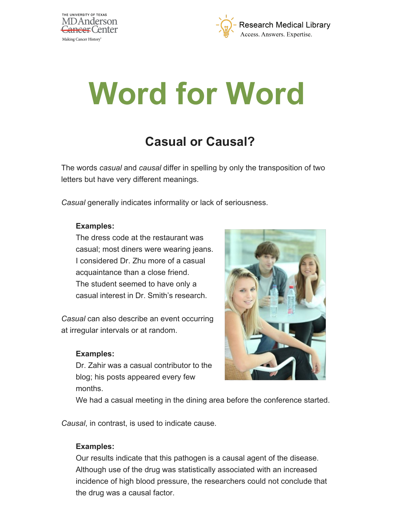



# **Word for Word**

# **Casual or Causal?**

The words *casual* and *causal* differ in spelling by only the transposition of two letters but have very different meanings.

*Casual* generally indicates informality or lack of seriousness.

#### **Examples:**

The dress code at the restaurant was casual; most diners were wearing jeans. I considered Dr. Zhu more of a casual acquaintance than a close friend. The student seemed to have only a casual interest in Dr. Smith's research.

*Casual* can also describe an event occurring at irregular intervals or at random.

#### **Examples:**

Dr. Zahir was a casual contributor to the blog; his posts appeared every few months.



We had a casual meeting in the dining area before the conference started.

*Causal*, in contrast, is used to indicate cause.

## **Examples:**

Our results indicate that this pathogen is a causal agent of the disease. Although use of the drug was statistically associated with an increased incidence of high blood pressure, the researchers could not conclude that the drug was a causal factor.